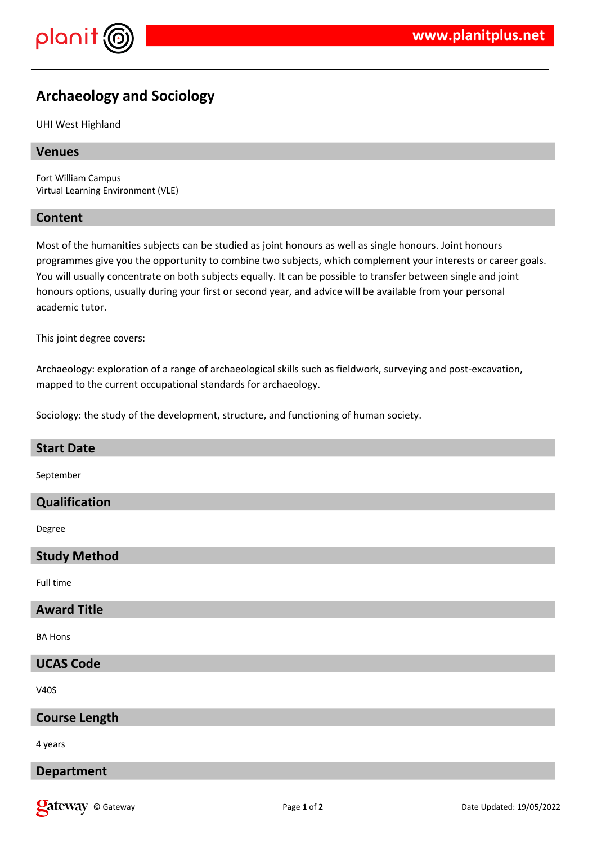

# **Archaeology and Sociology**

UHI West Highland

## **Venues**

Fort William Campus Virtual Learning Environment (VLE)

## **Content**

Most of the humanities subjects can be studied as joint honours as well as single honours. Joint honours programmes give you the opportunity to combine two subjects, which complement your interests or career goals. You will usually concentrate on both subjects equally. It can be possible to transfer between single and joint honours options, usually during your first or second year, and advice will be available from your personal academic tutor.

This joint degree covers:

Archaeology: exploration of a range of archaeological skills such as fieldwork, surveying and post-excavation, mapped to the current occupational standards for archaeology.

Sociology: the study of the development, structure, and functioning of human society.

## **Start Date**

September

## **Qualification**

Degree

#### **Study Method**

Full time

# **Award Title**

BA Hons

#### **UCAS Code**

V40S

## **Course Length**

4 years

## **Department**